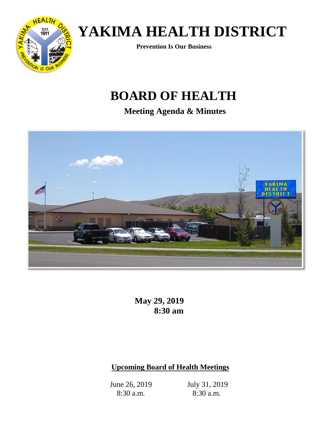

**Prevention Is Our Business**

## **BOARD OF HEALTH**

**Meeting Agenda & Minutes**



**May 29, 2019 8:30 am**

### **Upcoming Board of Health Meetings**

June 26, 2019 8:30 a.m.

July 31, 2019 8:30 a.m.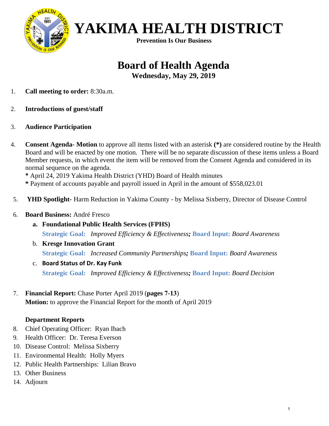

**Prevention Is Our Business**

## **Board of Health Agenda**

**Wednesday, May 29, 2019**

- 1. **Call meeting to order:** 8:30a.m.
- 2. **Introductions of guest/staff**
- 3. **Audience Participation**
- 4. **Consent Agenda- Motion** to approve all items listed with an asterisk **(\*)** are considered routine by the Health Board and will be enacted by one motion. There will be no separate discussion of these items unless a Board Member requests, in which event the item will be removed from the Consent Agenda and considered in its normal sequence on the agenda.

**\*** April 24, 2019 Yakima Health District (YHD) Board of Health minutes

**\*** Payment of accounts payable and payroll issued in April in the amount of \$558,023.01

5. **YHD Spotlight**- Harm Reduction in Yakima County - by Melissa Sixberry, Director of Disease Control

#### 6. **Board Business:** André Fresco

- **a. Foundational Public Health Services (FPHS) Strategic Goal:** *Improved Efficiency & Effectiveness;* **Board Input:** *Board Awareness*
- b. **Kresge Innovation Grant Strategic Goal:** *Increased Community Partnerships;* **Board Input:** *Board Awareness*
- c. **Board Status of Dr. Kay Funk Strategic Goal:** *Improved Efficiency & Effectiveness;* **Board Input:** *Board Decision*
- 7. **Financial Report:** Chase Porter April 2019 (**pages 7-13**) **Motion:** to approve the Financial Report for the month of April 2019

#### **Department Reports**

- 8. Chief Operating Officer: Ryan Ibach
- 9. Health Officer: Dr. Teresa Everson
- 10. Disease Control: Melissa Sixberry
- 11. Environmental Health: Holly Myers
- 12. Public Health Partnerships: Lilian Bravo
- 13. Other Business
- 14. Adjourn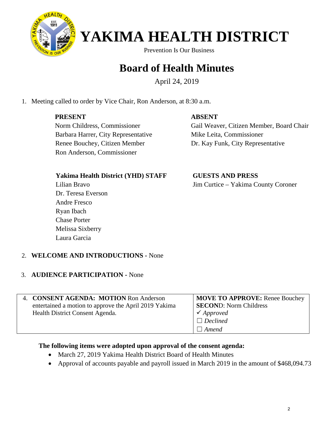

Prevention Is Our Business

### **Board of Health Minutes**

April 24, 2019

1. Meeting called to order by Vice Chair, Ron Anderson, at 8:30 a.m.

### **PRESENT**

#### **ABSENT**

 Norm Childress, Commissioner Barbara Harrer, City Representative Renee Bouchey, Citizen Member Ron Anderson, Commissioner

 Gail Weaver, Citizen Member, Board Chair Mike Leita, Commissioner Dr. Kay Funk, City Representative

#### **Yakima Health District (YHD) STAFF**

Lilian Bravo Dr. Teresa Everson Andre Fresco Ryan Ibach Chase Porter Melissa Sixberry Laura Garcia

 **GUESTS AND PRESS** Jim Curtice – Yakima County Coroner

#### 2. **WELCOME AND INTRODUCTIONS -** None

#### 3. **AUDIENCE PARTICIPATION -** None

| 4. CONSENT AGENDA: MOTION Ron Anderson                | MOVE TO APPROVE: Renee Bouchey |
|-------------------------------------------------------|--------------------------------|
| entertained a motion to approve the April 2019 Yakima | <b>SECOND:</b> Norm Childress  |
| Health District Consent Agenda.                       | $\checkmark$ Approved          |
|                                                       | $\Box$ Declined                |
|                                                       | $\Box$ Amend                   |

#### **The following items were adopted upon approval of the consent agenda:**

- March 27, 2019 Yakima Health District Board of Health Minutes
- Approval of accounts payable and payroll issued in March 2019 in the amount of \$468,094.73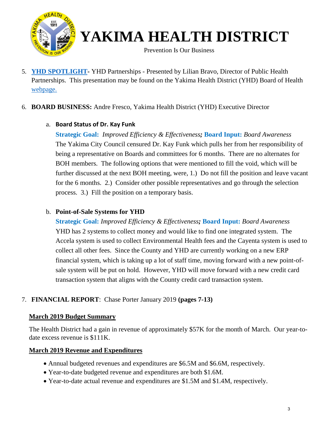

Prevention Is Our Business

5. **[YHD SPOTLIGHT-](http://yakimacounty.us/DocumentCenter/View/19315/Spotlight-YHD-2018-Accomplishments-and-2019-Goals)** YHD Partnerships - Presented by Lilian Bravo, Director of Public Health Partnerships. This presentation may be found on the Yakima Health District (YHD) Board of Health [webpage.](https://yakimacounty.us/1195/Board-of-Health)

#### 6. **BOARD BUSINESS:** Andre Fresco, Yakima Health District (YHD) Executive Director

#### a. **Board Status of Dr. Kay Funk**

**Strategic Goal:** *Improved Efficiency & Effectiveness;* **Board Input:** *Board Awareness* The Yakima City Council censured Dr. Kay Funk which pulls her from her responsibility of being a representative on Boards and committees for 6 months. There are no alternates for BOH members. The following options that were mentioned to fill the void, which will be further discussed at the next BOH meeting, were, 1.) Do not fill the position and leave vacant for the 6 months. 2.) Consider other possible representatives and go through the selection process. 3.) Fill the position on a temporary basis.

#### b. **Point-of-Sale Systems for YHD**

**Strategic Goal:** *Improved Efficiency & Effectiveness;* **Board Input:** *Board Awareness* YHD has 2 systems to collect money and would like to find one integrated system. The Accela system is used to collect Environmental Health fees and the Cayenta system is used to collect all other fees. Since the County and YHD are currently working on a new ERP financial system, which is taking up a lot of staff time, moving forward with a new point-ofsale system will be put on hold. However, YHD will move forward with a new credit card transaction system that aligns with the County credit card transaction system.

#### 7. **FINANCIAL REPORT**: Chase Porter January 2019 **(pages 7-13)**

#### **March 2019 Budget Summary**

The Health District had a gain in revenue of approximately \$57K for the month of March. Our year-todate excess revenue is \$111K.

#### **March 2019 Revenue and Expenditures**

- Annual budgeted revenues and expenditures are \$6.5M and \$6.6M, respectively.
- Year-to-date budgeted revenue and expenditures are both \$1.6M.
- Year-to-date actual revenue and expenditures are \$1.5M and \$1.4M, respectively.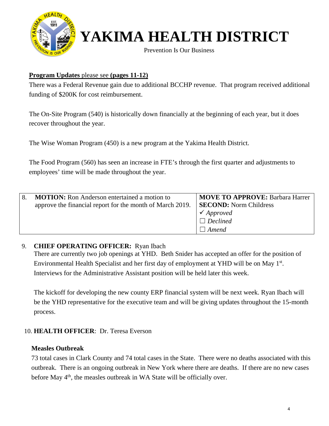

Prevention Is Our Business

#### **Program Updates** please see **(pages 11-12)**

There was a Federal Revenue gain due to additional BCCHP revenue. That program received additional funding of \$200K for cost reimbursement.

The On-Site Program (540) is historically down financially at the beginning of each year, but it does recover throughout the year.

The Wise Woman Program (450) is a new program at the Yakima Health District.

The Food Program (560) has seen an increase in FTE's through the first quarter and adjustments to employees' time will be made throughout the year.

| <b>MOTION:</b> Ron Anderson entertained a motion to<br>approve the financial report for the month of March 2019. | <b>MOVE TO APPROVE: Barbara Harrer</b><br><b>SECOND:</b> Norm Childress<br>$\checkmark$ Approved<br>$\Box$ Declined<br>$\Box$ Amend |
|------------------------------------------------------------------------------------------------------------------|-------------------------------------------------------------------------------------------------------------------------------------|
|------------------------------------------------------------------------------------------------------------------|-------------------------------------------------------------------------------------------------------------------------------------|

#### 9. **CHIEF OPERATING OFFICER:** Ryan Ibach

There are currently two job openings at YHD. Beth Snider has accepted an offer for the position of Environmental Health Specialist and her first day of employment at YHD will be on May 1<sup>st</sup>. Interviews for the Administrative Assistant position will be held later this week.

The kickoff for developing the new county ERP financial system will be next week. Ryan Ibach will be the YHD representative for the executive team and will be giving updates throughout the 15-month process.

#### 10. **HEALTH OFFICER**: Dr. Teresa Everson

#### **Measles Outbreak**

73 total cases in Clark County and 74 total cases in the State. There were no deaths associated with this outbreak. There is an ongoing outbreak in New York where there are deaths. If there are no new cases before May  $4<sup>th</sup>$ , the measles outbreak in WA State will be officially over.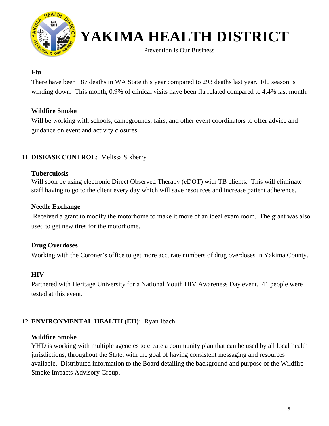

Prevention Is Our Business

#### **Flu**

There have been 187 deaths in WA State this year compared to 293 deaths last year. Flu season is winding down. This month, 0.9% of clinical visits have been flu related compared to 4.4% last month.

#### **Wildfire Smoke**

Will be working with schools, campgrounds, fairs, and other event coordinators to offer advice and guidance on event and activity closures.

#### 11. **DISEASE CONTROL**: Melissa Sixberry

#### **Tuberculosis**

Will soon be using electronic Direct Observed Therapy (eDOT) with TB clients. This will eliminate staff having to go to the client every day which will save resources and increase patient adherence.

#### **Needle Exchange**

 Received a grant to modify the motorhome to make it more of an ideal exam room. The grant was also used to get new tires for the motorhome.

#### **Drug Overdoses**

Working with the Coroner's office to get more accurate numbers of drug overdoses in Yakima County.

#### **HIV**

Partnered with Heritage University for a National Youth HIV Awareness Day event. 41 people were tested at this event.

#### 12. **ENVIRONMENTAL HEALTH (EH):** Ryan Ibach

#### **Wildfire Smoke**

YHD is working with multiple agencies to create a community plan that can be used by all local health jurisdictions, throughout the State, with the goal of having consistent messaging and resources available. Distributed information to the Board detailing the background and purpose of the Wildfire Smoke Impacts Advisory Group.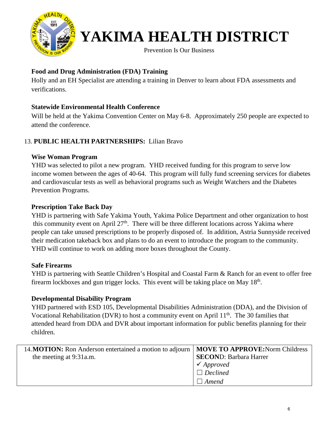

Prevention Is Our Business

#### **Food and Drug Administration (FDA) Training**

Holly and an EH Specialist are attending a training in Denver to learn about FDA assessments and verifications.

#### **Statewide Environmental Health Conference**

Will be held at the Yakima Convention Center on May 6-8. Approximately 250 people are expected to attend the conference.

#### 13. **PUBLIC HEALTH PARTNERSHIPS:** Lilian Bravo

#### **Wise Woman Program**

YHD was selected to pilot a new program. YHD received funding for this program to serve low income women between the ages of 40-64. This program will fully fund screening services for diabetes and cardiovascular tests as well as behavioral programs such as Weight Watchers and the Diabetes Prevention Programs.

#### **Prescription Take Back Day**

YHD is partnering with Safe Yakima Youth, Yakima Police Department and other organization to host this community event on April  $27<sup>th</sup>$ . There will be three different locations across Yakima where people can take unused prescriptions to be properly disposed of. In addition, Astria Sunnyside received their medication takeback box and plans to do an event to introduce the program to the community. YHD will continue to work on adding more boxes throughout the County.

#### **Safe Firearms**

YHD is partnering with Seattle Children's Hospital and Coastal Farm & Ranch for an event to offer free firearm lockboxes and gun trigger locks. This event will be taking place on May  $18<sup>th</sup>$ .

#### **Developmental Disability Program**

YHD partnered with ESD 105, Developmental Disabilities Administration (DDA), and the Division of Vocational Rehabilitation (DVR) to host a community event on April  $11<sup>th</sup>$ . The 30 families that attended heard from DDA and DVR about important information for public benefits planning for their children.

| 14. MOTION: Ron Anderson entertained a motion to adjourn   MOVE TO APPROVE: Norm Childress |                               |
|--------------------------------------------------------------------------------------------|-------------------------------|
| the meeting at 9:31a.m.                                                                    | <b>SECOND: Barbara Harrer</b> |
|                                                                                            | $\checkmark$ Approved         |
|                                                                                            | $\Box$ Declined               |
|                                                                                            | Amend                         |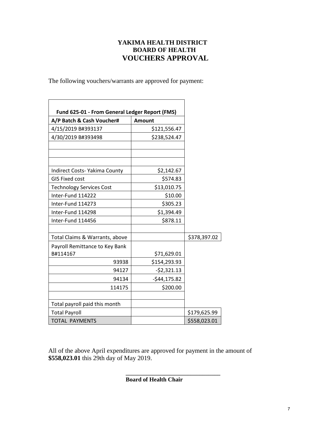#### **YAKIMA HEALTH DISTRICT BOARD OF HEALTH VOUCHERS APPROVAL**

The following vouchers/warrants are approved for payment:

| A/P Batch & Cash Voucher#       | <b>Amount</b> |              |
|---------------------------------|---------------|--------------|
| 4/15/2019 B#393137              | \$121,556.47  |              |
| 4/30/2019 B#393498              | \$238,524.47  |              |
|                                 |               |              |
| Indirect Costs-Yakima County    | \$2,142.67    |              |
| <b>GIS Fixed cost</b>           | \$574.83      |              |
| <b>Technology Services Cost</b> | \$13,010.75   |              |
| Inter-Fund 114222               | \$10.00       |              |
| Inter-Fund 114273               | \$305.23      |              |
| Inter-Fund 114298               | \$1,394.49    |              |
| Inter-Fund 114456               | \$878.11      |              |
| Total Claims & Warrants, above  |               | \$378,397.02 |
| Payroll Remittance to Key Bank  |               |              |
| B#114167                        | \$71,629.01   |              |
| 93938                           | \$154,293.93  |              |
| 94127                           | $-52,321.13$  |              |
| 94134                           | $-$44,175.82$ |              |
| 114175                          | \$200.00      |              |
| Total payroll paid this month   |               |              |
| <b>Total Payroll</b>            |               | \$179,625.99 |
| <b>TOTAL PAYMENTS</b>           |               | \$558,023.01 |

All of the above April expenditures are approved for payment in the amount of **\$558,023.01** this 29th day of May 2019.

**Board of Health Chair** 

**\_\_\_\_\_\_\_\_\_\_\_\_\_\_\_\_\_\_\_\_\_\_\_\_\_\_\_\_\_\_\_\_**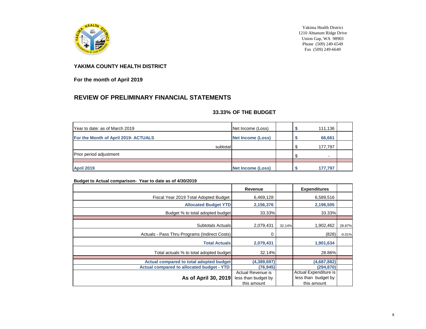

Yakima Health District 1210 Ahtanum Ridge Drive Union Gap, WA 98903 Phone  $(509)$  249-6549 Fax (509) 249-6649

#### **YAKIMA COUNTY HEALTH DISTRICT**

**For the month of April 2019**

### **REVIEW OF PRELIMINARY FINANCIAL STATEMENTS**

#### **33.33% OF THE BUDGET**

| Year to date: as of March 2019       | Net Income (Loss)        | 111,136 |
|--------------------------------------|--------------------------|---------|
| For the Month of April 2019- ACTUALS | <b>Net Income (Loss)</b> | 66,661  |
| subtotal                             |                          | 177,797 |
| Prior period adjustment              |                          | $\sim$  |
|                                      |                          |         |
| <b>April 2019</b>                    | <b>Net Income (Loss)</b> | 177,797 |

#### **Budget to Actual comparison- Year to date as of 4/30/2019**

|                                                  | Revenue                                  |        | <b>Expenditures</b>                          |          |
|--------------------------------------------------|------------------------------------------|--------|----------------------------------------------|----------|
| Fiscal Year 2019 Total Adopted Budget            | 6,469,128                                |        | 6,589,516                                    |          |
| <b>Allocated Budget YTD</b>                      | 2,156,376                                |        | 2,196,505                                    |          |
| Budget % to total adopted budget                 | 33.33%                                   |        | 33.33%                                       |          |
|                                                  |                                          |        |                                              |          |
| <b>Subtotals Actuals</b>                         | 2,079,431                                | 32.14% | 1,902,462                                    | 28.87%   |
| Actuals - Pass Thru Programs (Indirect Costs)    | 0                                        |        | (828)                                        | $-0.01%$ |
| <b>Total Actuals</b>                             | 2,079,431                                |        | 1,901,634                                    |          |
| Total actuals % to total adopted budget          | 32.14%                                   |        | 28.86%                                       |          |
|                                                  |                                          |        |                                              |          |
| Actual compared to total adopted budget          | (4,389,697)                              |        | (4,687,882)                                  |          |
| <b>Actual compared to allocated budget - YTD</b> | (76, 945)                                |        | (294, 870)                                   |          |
| As of April 30, 2019                             | Actual Revenue is<br>less than budget by |        | Actual Expenditure is<br>less than budget by |          |
|                                                  | this amount                              |        | this amount                                  |          |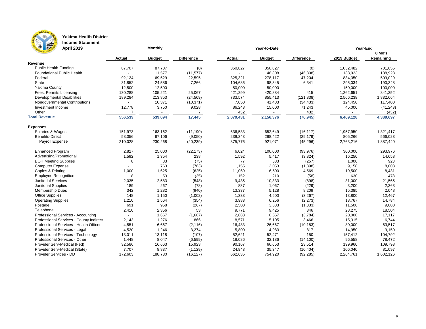

### **Yakima Health District**

**Income Statement April 2019**

| LE BO<br><b>April 2019</b>              |               | <b>Monthly</b> |                   |               | <b>Year-to-Date</b> | Year-End          |             |           |  |
|-----------------------------------------|---------------|----------------|-------------------|---------------|---------------------|-------------------|-------------|-----------|--|
|                                         |               |                |                   |               |                     |                   |             | 8 Mo's    |  |
|                                         | <b>Actual</b> | <b>Budget</b>  | <b>Difference</b> | <b>Actual</b> | <b>Budget</b>       | <b>Difference</b> | 2019 Budget | Remaining |  |
| Revenue                                 |               |                |                   |               |                     |                   |             |           |  |
| <b>Public Health Funding</b>            | 87,707        | 87,707         | (0)               | 350,827       | 350,827             | (0)               | 1,052,482   | 701,655   |  |
| <b>Foundational Public Health</b>       |               | 11,577         | (11, 577)         |               | 46,308              | (46, 308)         | 138,923     | 138,923   |  |
| Federal                                 | 92,124        | 69,529         | 22,595            | 325,321       | 278,117             | 47,204            | 834,350     | 509,029   |  |
| State                                   | 31,852        | 24,586         | 7,266             | 104,686       | 98,345              | 6,341             | 295,034     | 190,348   |  |
| <b>Yakima County</b>                    | 12,500        | 12,500         |                   | 50,000        | 50,000              |                   | 150,000     | 100,000   |  |
| Fees, Permits Licensing                 | 130,288       | 105,221        | 25,067            | 421,299       | 420,884             | 415               | 1,262,651   | 841,352   |  |
| Developmental Disabilities              | 189,284       | 213,853        | (24, 569)         | 733,574       | 855,413             | (121, 838)        | 2,566,238   | 1,832,664 |  |
| Nongovernmental Contributions           |               | 10,371         | (10, 371)         | 7,050         | 41,483              | (34, 433)         | 124,450     | 117,400   |  |
| Investment Income                       | 12,778        | 3,750          | 9,028             | 86,243        | 15,000              | 71,243            | 45,000      | (41, 243) |  |
| Other                                   |               |                |                   | 432           |                     | 432               |             | (432)     |  |
| <b>Total Revenue</b>                    | 556,539       | 539,094        | 17,445            | 2,079,431     | 2,156,376           | (76, 945)         | 6,469,128   | 4,389,697 |  |
| <b>Expenses</b>                         |               |                |                   |               |                     |                   |             |           |  |
| Salaries & Wages                        | 151,973       | 163,162        | (11, 190)         | 636,533       | 652,649             | (16, 117)         | 1,957,950   | 1,321,417 |  |
| <b>Benefits-Direct</b>                  | 58,056        | 67,106         | (9,050)           | 239,243       | 268,422             | (29, 179)         | 805,266     | 566,023   |  |
| Payroll Expense                         | 210,028       | 230,268        | (20, 239)         | 875,776       | 921,071             | (45, 296)         | 2,763,216   | 1,887,440 |  |
| <b>Enhanced Program</b>                 | 2,827         | 25,000         | (22, 173)         | 6,024         | 100,000             | (93, 976)         | 300,000     | 293,976   |  |
| Advertising/Promotional                 | 1,592         | 1,354          | 238               | 1,592         | 5,417               | (3,824)           | 16,250      | 14,658    |  |
| <b>BOH Meeting Supplies</b>             | 8             | 83             | (75)              | 77            | 333                 | (257)             | 1,000       | 923       |  |
| <b>Computer Expense</b>                 |               | 763            | (763)             | 1,155         | 3,053               | (1,898)           | 9,158       | 8,003     |  |
| Copies & Printing                       | 1,000         | 1,625          | (625)             | 11,069        | 6,500               | 4,569             | 19,500      | 8,431     |  |
| <b>Employee Recognition</b>             | 18            | 53             | (35)              | 152           | 210                 | (58)              | 630         | 478       |  |
| <b>Janitorial Services</b>              | 2,035         | 2,583          | (548)             | 9,435         | 10,333              | (898)             | 31,000      | 21,565    |  |
| <b>Janitorial Supplies</b>              | 189           | 267            | (78)              | 837           | 1,067               | (229)             | 3,200       | 2,363     |  |
| <b>Membership Dues</b>                  | 342           | 1,282          | (940)             | 13,337        | 5,128               | 8,209             | 15,385      | 2,048     |  |
| <b>Office Supplies</b>                  | 148           | 1,150          | (1,002)           | 1,333         | 4,600               | (3, 267)          | 13,800      | 12,467    |  |
| <b>Operating Supplies</b>               | 1,210         | 1,564          | (354)             | 3,983         | 6,256               | (2, 273)          | 18,767      | 14,784    |  |
| Postage                                 | 691           | 958            | (267)             | 2,500         | 3,833               | (1, 333)          | 11,500      | 9,000     |  |
| Telephone                               | 2,410         | 2,356          | 53                | 9,771         | 9,425               | 346               | 28,275      | 18,504    |  |
| Professional Services - Accounting      |               | 1,667          | (1,667)           | 2,883         | 6,667               | (3,784)           | 20,000      | 17,117    |  |
| Professional Services - County Indirect | 2,143         | 1,276          | 866               | 8,571         | 5,105               | 3,466             | 15,315      | 6,744     |  |
| Professional Services - Health Officer  | 4,551         | 6,667          | (2, 116)          | 16,483        | 26,667              | (10, 183)         | 80,000      | 63,517    |  |
| Professional Services - Legal           | 4,520         | 1,246          | 3,274             | 5,800         | 4,983               | 817               | 14,950      | 9,150     |  |
| Professional Services - Technology      | 13,011        | 13,118         | (107)             | 52,621        | 52,471              | 150               | 157,412     | 104,792   |  |
| Professional Services - Other           | 1,448         | 8,047          | (6, 599)          | 18,086        | 32,186              | (14, 100)         | 96,558      | 78,472    |  |
| Provider Serv-Medical (Fed)             | 32,586        | 16,663         | 15,923            | 90,167        | 66,653              | 23,514            | 199,960     | 109,793   |  |
| Provider Serv-Medical (State)           | 7,707         | 8,837          | (1, 129)          | 24,943        | 35,347              | (10, 404)         | 106,040     | 81,097    |  |
| Provider Services - DD                  | 172,603       | 188,730        | (16, 127)         | 662,635       | 754,920             | (92, 285)         | 2,264,761   | 1,602,126 |  |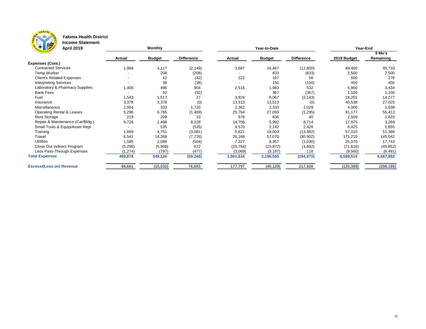

### **Yakima Health District**

**Income Statement**

| THE REAL<br><b>April 2019</b>        |               | Monthly       |                   |               | Year-to-Date  | Year-End          |             |            |
|--------------------------------------|---------------|---------------|-------------------|---------------|---------------|-------------------|-------------|------------|
|                                      |               |               |                   |               |               |                   |             | 8 Mo's     |
|                                      | <b>Actual</b> | <b>Budget</b> | <b>Difference</b> | <b>Actual</b> | <b>Budget</b> | <b>Difference</b> | 2019 Budget | Remaining  |
| <b>Expenses (Cont.)</b>              |               |               |                   |               |               |                   |             |            |
| <b>Contracted Services</b>           | 1,968         | 4,117         | (2, 149)          | 3,667         | 16,467        | (12,800)          | 49,400      | 45,733     |
| <b>Temp Worker</b>                   |               | 208           | (208)             |               | 833           | (833)             | 2,500       | 2,500      |
| <b>Client's Related Expenses</b>     |               | 42            | (42)              | 222           | 167           | 56                | 500         | 278        |
| <b>Interpreting Services</b>         |               | 38            | (38)              |               | 150           | (150)             | 450         | 450        |
| Laboratory & Pharmacy Supplies       | 1,400         | 496           | 904               | 2,516         | 1,983         | 532               | 5,950       | 3,434      |
| <b>Bank Fees</b>                     |               | 92            | (92)              |               | 367           | (367)             | 1,100       | 1,100      |
| Fuel                                 | 1,543         | 1,517         | 27                | 3,924         | 6,067         | (2, 143)          | 18,201      | 14,277     |
| Insurance                            | 3,378         | 3,378         | (0)               | 13,513        | 13,513        | (0)               | 40,538      | 27,025     |
| Miscellaneous                        | 2,054         | 333           | 1,720             | 2,362         | 1,333         | 1,029             | 4,000       | 1,638      |
| <b>Operating Rental &amp; Leases</b> | 5,296         | 6,765         | (1, 469)          | 25,764        | 27,059        | (1, 295)          | 81,177      | 55,413     |
| <b>Rent Storage</b>                  | 219           | 209           | 10                | 876           | 836           | 40                | 2,509       | 1,633      |
| Repair & Maintenance (Car/Bldg.)     | 9,726         | 1,498         | 8,228             | 14,706        | 5,992         | 8,714             | 17,975      | 3,269      |
| Small Tools & Equip/Asset Repl.      |               | 535           | (535)             | 4,570         | 2,142         | 2,428             | 6,425       | 1,855      |
| Training                             | 1,669         | 4,751         | (3,081)           | 5,621         | 19,003        | (13, 382)         | 57,010      | 51,389     |
| Travel                               | 6,541         | 14,268        | (7, 726)          | 26,168        | 57,070        | (30, 902)         | 171,210     | 145,042    |
| <b>Utilities</b>                     | 1,585         | 2,089         | (504)             | 7,327         | 8,357         | (1,030)           | 25,070      | 17,743     |
| Close Out Indirect Program           | (5,296)       | (5,968)       | 672               | (25, 764)     | (23, 872)     | (1,892)           | (71, 616)   | (45, 852)  |
| Less Pass-Through Expenses           | (1, 274)      | (797)         | (477)             | (3,069)       | (3, 187)      | 118               | (9, 560)    | (6, 491)   |
| <b>Total Expenses</b>                | 489,878       | 549,126       | (59, 248)         | 1,901,634     | 2,196,505     | (294, 870)        | 6,589,516   | 4,687,882  |
| <b>Excess/(Loss on) Revenue</b>      | 66,661        | (10, 032)     | 76,693            | 177,797       | (40, 129)     | 217,926           | (120, 388)  | (298, 185) |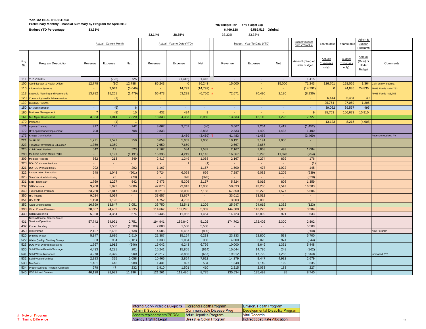### **YAKIMA HEALTH DISTRICT** Preliminary Monthly Financial Summary by Program for April 2019<br>**Pudget Revised Accepts to the Capric Control** of the Capricial Summary of the Capric Capric Capricial Summary o<br>Budget XTD Persontage of 23,232%

|                    | <b>Budget YTD Percentage</b>                                   | 33.33%          |                               |                 | 32.14%          | 28.85%                      |                 | 6,469,128       | 6,589,516 Original<br>33.33% |                 |                                           |                                                    |                                     |                                                      |                              |
|--------------------|----------------------------------------------------------------|-----------------|-------------------------------|-----------------|-----------------|-----------------------------|-----------------|-----------------|------------------------------|-----------------|-------------------------------------------|----------------------------------------------------|-------------------------------------|------------------------------------------------------|------------------------------|
|                    |                                                                |                 |                               |                 |                 |                             |                 | 33.33%          |                              |                 |                                           |                                                    |                                     |                                                      |                              |
|                    |                                                                |                 | <b>Actual - Current Month</b> |                 |                 | Actual - Year to Date (YTD) |                 |                 | Budget - Year To Date (YTD)  |                 | <b>Budget Variance</b><br>from YTD actual | Year to date                                       | Year to date                        | Admin &<br>Support                                   |                              |
|                    |                                                                |                 |                               |                 |                 |                             |                 |                 |                              |                 |                                           |                                                    |                                     | Programs                                             |                              |
| Prog<br><u>No.</u> | <b>Program Description</b>                                     | <u>Revenue</u>  | <b>Expense</b>                | $Net$           | Revenue         | Expense                     | $Net$           | Revenue         | <b>Expense</b>               | <u>Net</u>      | Amount (Over) or<br><b>Under Budget</b>   | <b>Actuals</b><br><u>(Expenses</u><br><u>only)</u> | <b>Budget</b><br>(Expenses<br>only) | <b>Amount</b><br>(Over) or<br>Under<br><b>Budget</b> | Comments                     |
|                    | 111 YHD Vehicles                                               |                 | (725)                         | 725             | $\sim$          | (1, 415)                    | 1,415           | $\blacksquare$  | $\sim$                       | $\blacksquare$  | 1,415                                     |                                                    |                                     |                                                      |                              |
|                    | 100 Administrator & Health Officer                             | 12,778          | (10)                          | 12,788          | 86,243          | $\overline{0}$              | 86,243          | 15,000          | <b>Contract</b>              | 15,000          | 71,243                                    | 126,701                                            | 128,065                             |                                                      | 1,364 Gain on Inv. Interest  |
|                    | 110 Information Systems                                        |                 | 3,049                         | (3,049)         |                 | 14,792                      | (14, 792)       |                 |                              | ÷               | (14, 792)                                 |                                                    | 24,835                              |                                                      | 24,835 FPHS Funds - \$14,792 |
|                    | 113 Strategic Planning and Partnership                         | 13,782          | 15,261                        | (1, 479)        | 56,473          | 63,228                      | (6, 756)        | 72,671          | 70,490                       | 2,180           | (8,936)                                   |                                                    |                                     |                                                      | FPHS Funds - \$6,756         |
|                    | 120 Community Health Administration                            |                 | (1)                           |                 |                 | $\sim$                      |                 | $\sim$          |                              | $\sim$          | $\sim$                                    | 6,444                                              | 6,484                               | 40                                                   |                              |
|                    | 130 Building, Fixtures                                         | $\sim$ $-$      | $\sim$                        | <b>Co</b>       | and the         | cent.                       | <b>Contract</b> | <b>Contract</b> | $\sim$ $-$                   | control.        | cent.                                     | 25,764                                             | 27,059                              | 1,295                                                |                              |
|                    | 150 EH Administration                                          | $\sim$          | (6)                           | 6 <sup>1</sup>  | $\sim$          | $\sim$                      | $\sim$ .        | $\sim$          | $\sim$                       | $\sim$          | $\sim$                                    | 39,062                                             | 39,557                              | 495                                                  |                              |
|                    | 160 Business Management                                        | $\overline{7}$  | (8)                           | 15              | 432             | 424                         | $\overline{9}$  |                 |                              | <b>COL</b>      | 9                                         | 95,763                                             | 106,673                             | 10,910                                               |                              |
|                    | 161 Bus Mgmt Unallocated                                       | 3,333           | 1,014                         | 2,320           | 13,333          | 4,383                       | 8,950           | 13,333          | 12,110                       | 1,223           | 7,727                                     |                                                    |                                     |                                                      |                              |
|                    | 170 Personnel                                                  |                 | (1)                           |                 |                 |                             |                 |                 |                              | $\sim$          |                                           | 13,123                                             | 8,215                               | (4,908)                                              |                              |
|                    | 171 Agency Training                                            | 917             | 175                           | 742             | 3,667           | 3,707                       | (40)            | 3,667           | 2,254                        | 1,412           | (1, 452)                                  |                                                    |                                     |                                                      |                              |
|                    | 172 HR Legal/Sound Employment                                  | 708             |                               | 708             | 2,833           |                             | 2,833           | 2,833           | 1,400                        | 1,433           | 1,400                                     |                                                    |                                     |                                                      |                              |
|                    | 173 Kresge Contribution                                        | $\sim 10$       |                               | <b>Section</b>  |                 | 3,469                       | (3,469)         | 41,483          | 41,483                       | $\sim$          | (3, 469)                                  |                                                    |                                     |                                                      | Revenue received PY          |
|                    | $221$ SNAP ED                                                  | 1,771           | 1,521                         | 250             | 6,059           | 5,059                       | 1,000           | 10,191          | 9,191                        | 1,000           | $\sim$                                    |                                                    |                                     |                                                      |                              |
|                    | 223   Tobacco Prevention & Education                           | 1,359           | 1,359                         |                 | 7,650           | 7,650                       | $\sim$          | 2,667           | 2,667                        | ж.              | $\sim$                                    |                                                    |                                     |                                                      |                              |
|                    | 225 Child Death Review                                         | 542             | 19                            | 523             | 2,167           | 584                         | 1,582           | 2,167           | 1,668                        | 499             | 1,084                                     |                                                    |                                     |                                                      |                              |
|                    | 290 Medicaid Admin Match-YHD                                   |                 | 1,191                         | (1, 191)        | 15,335          | 4,219                       | 11,116          | 16,667          | 5,296                        | 11,370          | (254)                                     |                                                    |                                     |                                                      |                              |
|                    | 309 Medical Records                                            | 562             | 213                           | 349             | 2,417           | 1,349                       | 1,068           | 2,167           | 1,274                        | 892             | 176                                       |                                                    |                                     |                                                      |                              |
|                    | 320 DOHCC - Immunizations                                      | $\sim$ 10 $\pm$ |                               | $\sim$          |                 |                             | (1)             | $\sim$          | $\sim$ $-$                   | $\sim$          | (1)                                       |                                                    |                                     |                                                      |                              |
|                    | 321 DOHCC-Prenatal Hep B                                       | 292             | $\blacksquare$                | 292             | 1,167           | $\overline{\phantom{a}}$    | 1,167           | 1,500           | 478                          | 1,022           | 145                                       |                                                    |                                     |                                                      |                              |
|                    | 322   Immunization Promotion                                   | 548             | 1,048                         | (501)           | 6,724           | 6,058                       | 666             | 7,287           | 6,082                        | 1,205           | (539)                                     |                                                    |                                     |                                                      |                              |
|                    | 325 State Vaccine Monitoring                                   |                 | 73                            | (73)            |                 | 320                         | (320)           |                 |                              | $\sim$          | (320)                                     |                                                    |                                     |                                                      |                              |
| 331                | STD - DOH staff                                                | 1,769           | 1,227                         | 542             | 7,473           | 5,306                       | 2,167           | 5,824           | 5,016                        | 808             | 1,359                                     |                                                    |                                     |                                                      |                              |
|                    | 332 STD-Yakima                                                 | 9,708           | 5,822                         | 3,886           | 47,873          | 29,943                      | 17,930          | 50,833          | 49,286                       | 1,547           | 16,383                                    |                                                    |                                     |                                                      |                              |
|                    | 349 Tuberculosis Program                                       | 23,750          | 22,817                        | 933             | 90,213          | 83,030                      | 7,183           | 67,850          | 66,273                       | 1,577           | 5,606                                     |                                                    |                                     |                                                      |                              |
|                    | 350 HIV Testing                                                | 9,024           | 9,024                         | $\sim$          | 33,657          | 33,657                      | $\sim$          | 33,012          | 33,012                       | $\sim$          | $\sim$                                    |                                                    |                                     |                                                      |                              |
|                    | 351 HIV PrEP                                                   | 1,198<br>16,899 | 1,198<br>13,847               | $\sim$<br>3,051 | 4,752<br>33,750 | 4,752<br>32,541             | $\sim$<br>1,209 | 3,003<br>25,947 | 3,003<br>24,615              | $\sim$<br>1,332 | $\blacksquare$<br>(123)                   |                                                    |                                     |                                                      |                              |
|                    | 352 Adult Viral Hepatitis<br>390 Other Comm Diseases           | 28,667          | 24,432                        | 4,235           | 114,667         | 109,298                     | 5,369           | 144,308         | 142,223                      | 2,085           | 3,284                                     |                                                    |                                     |                                                      |                              |
|                    | 430 Colon Screening                                            | 5,028           | 4,354                         | 674             | 13,436          | 11,982                      | 1,454           | 14,723          | 13,802                       | 921             | 533                                       |                                                    |                                     |                                                      |                              |
|                    | <b>Breast/Cervical Cancer-Direct</b><br>431 Services/Operation | 57,742          | 54,991                        | 2,751           | 194,941         | 189,840                     | 5,102           | 174,702         | 172,402                      | 2,300           | 2,802                                     |                                                    |                                     |                                                      |                              |
|                    | 432 Komen Funding                                              | $\sim$          | 1,500                         | (1,500)         | 7,000           | 1,500                       | 5,500           | $\sim$          | $\sim$                       | $\sim$          | 5,500                                     |                                                    |                                     |                                                      |                              |
|                    | 450 Wisewoman                                                  | 2,127           | 2,486                         | (359)           | 4,686           | 5,487                       | (800)           | $\blacksquare$  | $\sim$                       | $\sim$          | (800)                                     |                                                    |                                     |                                                      | New Porgram                  |
|                    | 520 Drinking Water                                             | 5,147           | 2,636                         | 2,510           | 21,387          | 15,154                      | 6,233           | 23,333          | 22,800                       | 533             | 5,700                                     |                                                    |                                     |                                                      |                              |
|                    | 522 Water Quality- Sanitary Survey                             | 333             | 934                           | (601)           | 1,333           | 1,004                       | 330             | 4,000           | 3,026                        | 974             | (644)                                     |                                                    |                                     |                                                      |                              |
|                    | 523 DOE Well Drilling Inspections                              | 1,667           | 1,912                         | (246)           | 16,042          | 9,243                       | 6,799           | 10,000          | 8,649                        | 1,351           | 5,448                                     |                                                    |                                     |                                                      |                              |
|                    | 530 Solid Waste Permits/Tonnage                                | 4,433           | 4,231                         | 201             | 15,241          | 15,855                      | (614)           | 15,044          | 14,795                       | 248             | (862)                                     |                                                    |                                     |                                                      |                              |
|                    | 531 Solid Waste Nuisances                                      | 4,278           | 3,379                         | 900             | 23,217          | 23,885                      | (667)           | 19,012          | 17,729                       | 1,283           | (1,950)                                   |                                                    |                                     |                                                      | Increased FTE                |
|                    | 532 Solid Waste Facilities                                     | 2,383           | 325                           | 2,058           | 10,466          | 2,854                       | 7,612           | 14,379          | 9,447                        | 4,932           | 2,679                                     |                                                    |                                     |                                                      |                              |
|                    | 533 Bio-Solids                                                 | 1,431           | 443                           | 988             | 1,431           | 897                         | 534             | 1,348           | 1,149                        | 199             | 335                                       |                                                    |                                     |                                                      |                              |
|                    | 534 Proper Syringes Program Outreach                           | 278             | 47                            | 232             | 1,910           | 1,501                       | 410             | 2,215           | 2,033                        | 183             | 227                                       |                                                    |                                     |                                                      |                              |
|                    | 540 OSS & Land Develop                                         | 40,128          | 28,932                        | 11,196          | 121,261         | 112,486                     | 8,775           | 135,534         | 135,499                      | 35              | 8,740                                     |                                                    |                                     |                                                      |                              |

| Internal Serv- Vehicles/Copiers   Personal Health Program |                           | Envir   |
|-----------------------------------------------------------|---------------------------|---------|
| Admin & Support                                           | Communicable Disease Prog | Deve    |
| Assets replacements/PERS1                                 | Adult Hepatitis Program   | Vital I |
| Agency Trg/HR Legal                                       | Breast & Colon Program    | Indire  |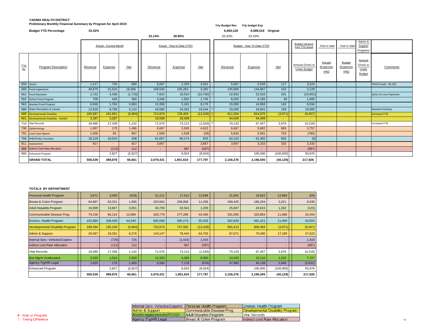### **YAKIMA HEALTH DISTRICT Preliminary Monthly Financial Summary by Program for April 2019** *Yrly Budget Rev**Yrly Budget Rev**Yrly budget Exp*

|             | <b>Budget YTD Percentage</b>           | 33.33%         |                               |            | 32.14%                      | 28.85%         |               | 6,469,128<br>33.33% | 6,589,516 Original<br>33.33% |            |                                         |                                      |                                     |                                               |                                |
|-------------|----------------------------------------|----------------|-------------------------------|------------|-----------------------------|----------------|---------------|---------------------|------------------------------|------------|-----------------------------------------|--------------------------------------|-------------------------------------|-----------------------------------------------|--------------------------------|
|             |                                        |                | <b>Actual - Current Month</b> |            | Actual - Year to Date (YTD) |                |               |                     | Budget - Year To Date (YTD)  |            |                                         | Year to date                         | Year to date                        | Admin &<br>Support<br>Programs                |                                |
| Prog<br>No. | <b>Program Description</b>             | <b>Revenue</b> | <b>Expense</b>                | <b>Net</b> | Revenue                     | <b>Expense</b> | <b>Net</b>    | Revenue             | Expense                      | <b>Net</b> | Amount (Over) or<br><b>Under Budget</b> | <b>Actuals</b><br>(Expenses<br>only) | <b>Budget</b><br>(Expenses<br>only) | Amount<br>(Over) or<br>Under<br><b>Budget</b> | Comments                       |
|             | 550 Vector                             | 1,417          | 726                           | 690        | 5,667                       | 2,325          | 3,341         | 5,667               | 5,549                        | 117        | 3,224                                   |                                      |                                     |                                               | FPHS Funds - \$2,325           |
|             | 560 Food Inspections                   | 49,875         | 31,510                        | 18,365     | 158,545                     | 155,263        | 3,282         | 145,000             | 144,847                      | 153        | 3,129                                   |                                      |                                     |                                               |                                |
|             | 561   Food Education                   | 2,722          | 4,438                         | (1,716)    | 7,810                       | 18,510         | $(10, 700)$ T | 22,833              | 22,633                       | 201        | (10, 901)                               |                                      |                                     |                                               | <b>Qrtrly On-Line Payments</b> |
|             | 562 School Food Program                | 708            | 429                           | 280        | 3,246                       | 1,502          | 1,745         | 8,250               | 8,185                        | 65         | 1,680                                   |                                      |                                     |                                               |                                |
|             | 563 Itinerant Food Program             | 6,848          | 1,784                         | 5,063      | 13,358                      | 5,181          | 8,176         | 15,000              | 14,858                       | 142        | 8,034                                   |                                      |                                     |                                               |                                |
|             | 580 Water Recreation & Camps           | 12,818         | 8,708                         | 4,110      | 43,585                      | 24,342         | 19,244        | 19,000              | 18,841                       | 159        | 19,085                                  |                                      |                                     |                                               | Sesonal Invoicing              |
|             | 680 Developmental Disability           | 185,997        | 191,961                       | (5,964)    | 714,976                     | 728,404        | $(13, 428)$ # | 811,004             | 814,975                      | (3,971)    | (9, 457)                                |                                      |                                     |                                               | Increased FTE                  |
|             | 681 Developmental Disability - Info/Ed | 3,287          | 3,287                         | $\sim$     | 18,598                      | 18,598         | $\sim$        | 44,409              | 44,409                       | $\sim 10$  | $\sim$                                  |                                      |                                     |                                               |                                |
|             | 710 Vital Records                      | 18,480         | 17,338                        | 1,142      | 71,570                      | 73,113         | (1,543)       | 70,133              | 67,457                       | 2,676      | (4,219)                                 |                                      |                                     |                                               | Increased FTE                  |
|             | 790 Epidemiology                       | 1,667          | 170                           | 1,496      | 6,667                       | 2,045          | 4,622         | 6,667               | 5,802                        | 865        | 3,757                                   |                                      |                                     |                                               |                                |
|             | 791 Lead Case Mgmnt                    | 1,000          | 93                            | 907        | 1,500                       | 1,528          | (28)          | 5,833               | 5,081                        | 753        | (780)                                   |                                      |                                     |                                               |                                |
|             | 794 PHEPR-Bio Terrorism                | 18,218         | 18,010                        | 208        | 61,007                      | 60,174         | 833           | 62,215              | 61,382                       | 833        | (0)                                     |                                      |                                     |                                               |                                |
|             | 811 Assessment                         | 917            | $\sim$                        | 917        | 3,667                       | $\sim$         | 3,667         | 3,667               | 3,333                        | 333        | 3,333                                   |                                      |                                     |                                               |                                |
|             | 888   Indirect Cost Rate Allocation    | $\sim 10$      | (112)                         | 112        | $\sim 10$                   | 587            | (587)         | $\sim$              | $\sim$                       | $\sim$     | (587)                                   |                                      |                                     |                                               |                                |
|             | 900 Enhanced Program                   | $\sim$         | 2,827                         | (2,827)    | $\sim$                      | 6,024          | (6,024)       |                     | 100,000                      | (100,000)  | 93,976                                  |                                      |                                     |                                               |                                |
|             | <b>GRAND TOTAL</b>                     | 556,539        | 489,878                       | 66,661     | 2,079,431                   | 1,901,634      | 177,797       | 2,156,376           | 2,196,505                    | (40, 129)  | 217,926                                 |                                      |                                     |                                               |                                |

#### **TOTALS BY DEPARTMENT**

| Personal Health Program                 | 3,671   | 4,089   | (418)   | 31,211                   | 17,513    | 13,698    | 31,691    | 18,822    | 12,869    | 829      |
|-----------------------------------------|---------|---------|---------|--------------------------|-----------|-----------|-----------|-----------|-----------|----------|
| Breast & Colon Program                  | 64,897  | 63,331  | 1,566   | 220,064                  | 208,808   | 11,256    | 189,425   | 186,204   | 3,221     | 8,035    |
| <b>Adult Hepatitis Program</b>          | 16,899  | 13,847  | 3,051   | 33,750                   | 32,541    | 1,209     | 25,947    | 24,615    | 1,332     | (123)    |
| <b>Communicable Disease Prog</b>        | 79,100  | 66,116  | 12,984  | 320,776                  | 277,286   | 43,490    | 331,950   | 320,864   | 11,086    | 32,404   |
| Environ. Health Program                 | 152,684 | 108,439 | 44,245  | 505,506                  | 450,174   | 55,333    | 502,829   | 491,421   | 11,409    | 43,924   |
| <b>Developmental Disability Program</b> | 189,284 | 195,249 | (5,964) | 733,574                  | 747,002   | (13, 428) | 855,413   | 859,384   | (3,971)   | (9, 457) |
| Admin & Support                         | 26,567  | 18,291  | 8,276   | 143,147                  | 78,444    | 64,703    | 87,671    | 70,490    | 17,180    | 47,523   |
| <b>Internal Serv- Vehicles/Copiers</b>  |         | (725)   | 725     |                          | (1, 415)  | 1,415     |           |           |           | 1,415    |
| <b>Indirect cost Rate Allocation</b>    |         | (112)   | 112     |                          | 587       | (587)     |           |           |           | (587)    |
| Vital Records                           | 18,480  | 17,338  | 1,142   | 71,570                   | 73,113    | (1, 543)  | 70,133    | 67,457    | 2,676     | (4,219)  |
| <b>Bus Mgmt Unallocated</b>             | 3,333   | 1,014   | 2,320   | 13,333                   | 4,383     | 8,950     | 13,333    | 12,110    | 1,223     | 7,727    |
| Agency Trg/HR Legal                     | 1,625   | 175     | 1,450   | 6,500                    | 7,176     | (676)     | 47,983    | 45,138    | 2,846     | (3,521)  |
| <b>Enhanced Program</b>                 |         | 2,827   | (2,827) | $\overline{\phantom{a}}$ | 6,024     | (6,024)   |           | 100,000   | (100,000) | 93,976   |
|                                         | 556,539 | 489,878 | 66,661  | 2,079,431                | 1,901,634 | 177,797   | 2,156,376 | 2,196,505 | (40, 129) | 217,926  |

| Internal Serv- Vehicles/Copiers   Personal Health Program |                           | Environ. Health Program          |
|-----------------------------------------------------------|---------------------------|----------------------------------|
| Admin & Support                                           | Communicable Disease Prog | Developmental Disability Program |
| Assets replacements/PERS1                                 | Adult Hepatitis Program   | <b>Vital Records</b>             |
| Agency Trg/HR Legal                                       | Breast & Colon Program    | Indirect cost Rate Allocation    |